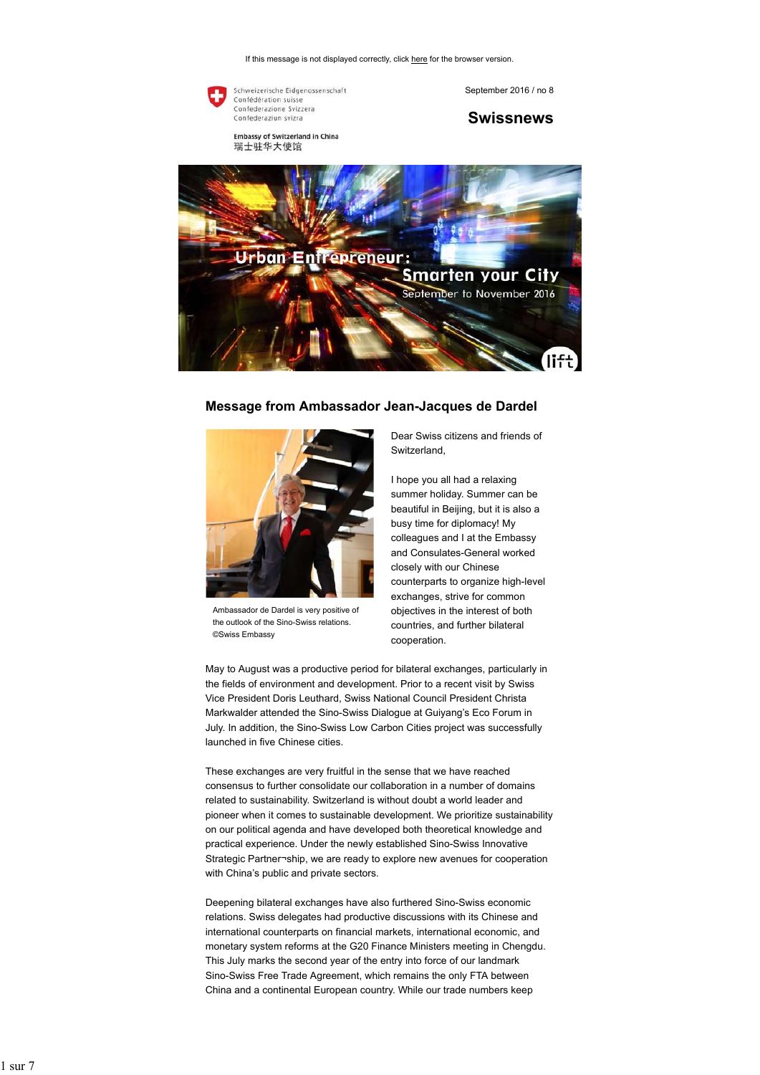If this message is not displayed correctly, click here for the browser version.



Confédération suisse<br>Confederazione Svizzera Confederaziun svizra

Embassy of Switzerland in China 瑞士驻华大使馆

September 2016 / no 8

**Swissnews**



## **Message from Ambassador Jean-Jacques de Dardel**



Ambassador de Dardel is very positive of the outlook of the Sino-Swiss relations. ©Swiss Embassy

Dear Swiss citizens and friends of Switzerland,

I hope you all had a relaxing summer holiday. Summer can be beautiful in Beijing, but it is also a busy time for diplomacy! My colleagues and I at the Embassy and Consulates-General worked closely with our Chinese counterparts to organize high-level exchanges, strive for common objectives in the interest of both countries, and further bilateral cooperation.

May to August was a productive period for bilateral exchanges, particularly in the fields of environment and development. Prior to a recent visit by Swiss Vice President Doris Leuthard, Swiss National Council President Christa Markwalder attended the Sino-Swiss Dialogue at Guiyang's Eco Forum in July. In addition, the Sino-Swiss Low Carbon Cities project was successfully launched in five Chinese cities.

These exchanges are very fruitful in the sense that we have reached consensus to further consolidate our collaboration in a number of domains related to sustainability. Switzerland is without doubt a world leader and pioneer when it comes to sustainable development. We prioritize sustainability on our political agenda and have developed both theoretical knowledge and practical experience. Under the newly established Sino-Swiss Innovative Strategic Partner¬ship, we are ready to explore new avenues for cooperation with China's public and private sectors.

Deepening bilateral exchanges have also furthered Sino-Swiss economic relations. Swiss delegates had productive discussions with its Chinese and international counterparts on financial markets, international economic, and monetary system reforms at the G20 Finance Ministers meeting in Chengdu. This July marks the second year of the entry into force of our landmark Sino-Swiss Free Trade Agreement, which remains the only FTA between China and a continental European country. While our trade numbers keep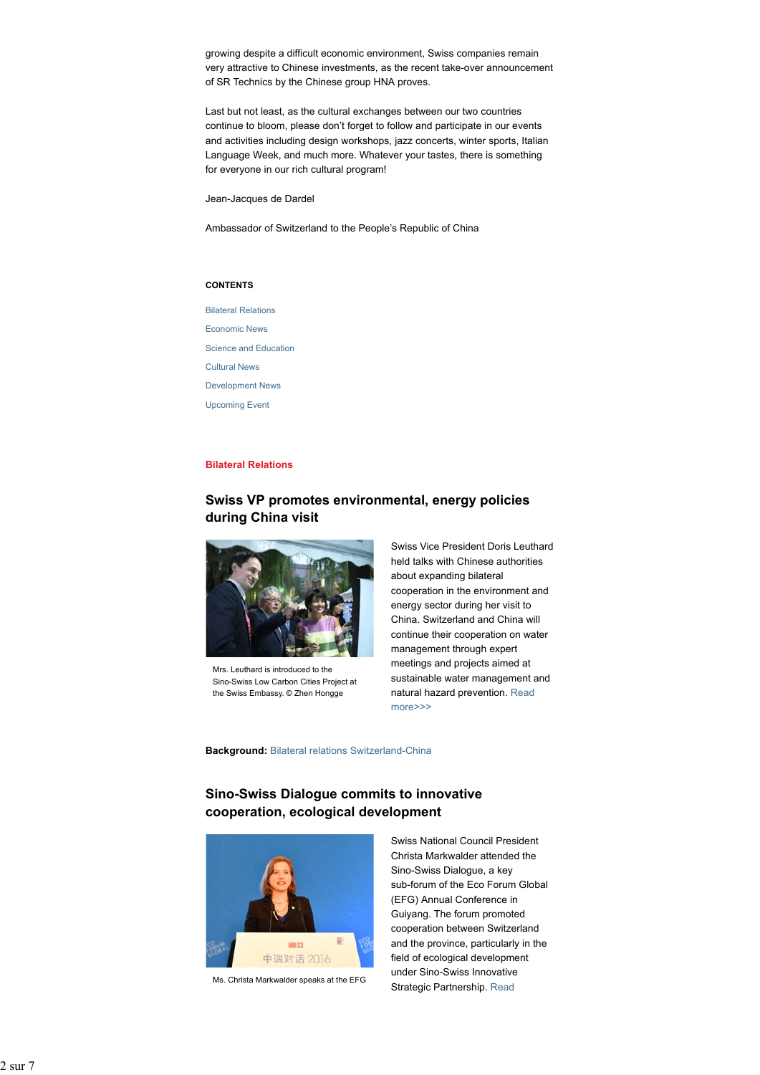growing despite a difficult economic environment, Swiss companies remain very attractive to Chinese investments, as the recent take-over announcement of SR Technics by the Chinese group HNA proves.

Last but not least, as the cultural exchanges between our two countries continue to bloom, please don't forget to follow and participate in our events and activities including design workshops, jazz concerts, winter sports, Italian Language Week, and much more. Whatever your tastes, there is something for everyone in our rich cultural program!

Jean-Jacques de Dardel

Ambassador of Switzerland to the People's Republic of China

#### **CONTENTS**

Bilateral Relations Economic News Science and Education Cultural News Development News Upcoming Event

## **Bilateral Relations**

# **Swiss VP promotes environmental, energy policies during China visit**



Mrs. Leuthard is introduced to the Sino-Swiss Low Carbon Cities Project at the Swiss Embassy. © Zhen Hongge

Swiss Vice President Doris Leuthard held talks with Chinese authorities about expanding bilateral cooperation in the environment and energy sector during her visit to China. Switzerland and China will continue their cooperation on water management through expert meetings and projects aimed at sustainable water management and natural hazard prevention. Read more>>>

**Background:** Bilateral relations Switzerland-China

# **Sino-Swiss Dialogue commits to innovative cooperation, ecological development**



Ms. Christa Markwalder speaks at the EFG

Swiss National Council President Christa Markwalder attended the Sino-Swiss Dialogue, a key sub-forum of the Eco Forum Global (EFG) Annual Conference in Guiyang. The forum promoted cooperation between Switzerland and the province, particularly in the field of ecological development under Sino-Swiss Innovative Strategic Partnership. Read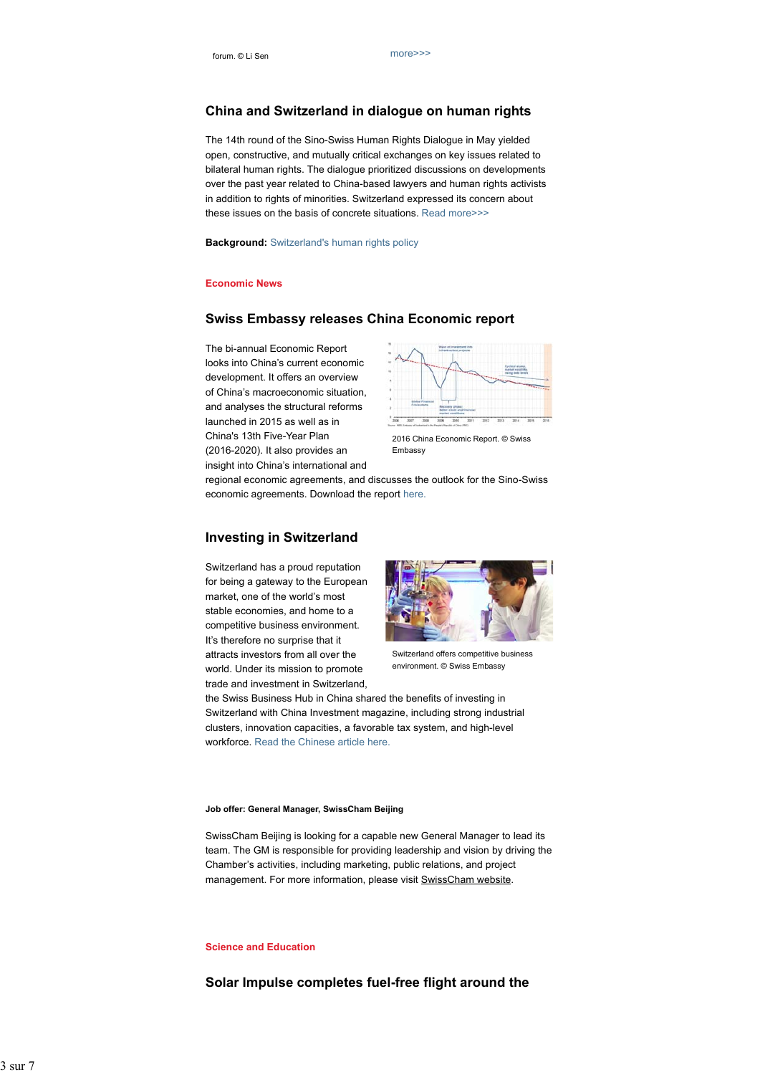# **China and Switzerland in dialogue on human rights**

The 14th round of the Sino-Swiss Human Rights Dialogue in May yielded open, constructive, and mutually critical exchanges on key issues related to bilateral human rights. The dialogue prioritized discussions on developments over the past year related to China-based lawyers and human rights activists in addition to rights of minorities. Switzerland expressed its concern about these issues on the basis of concrete situations. Read more>>>

**Background:** Switzerland's human rights policy

#### **Economic News**

## **Swiss Embassy releases China Economic report**

The bi-annual Economic Report looks into China's current economic development. It offers an overview of China's macroeconomic situation, and analyses the structural reforms launched in 2015 as well as in China's 13th Five-Year Plan (2016-2020). It also provides an insight into China's international and



2016 China Economic Report. © Swiss **Embassy** 

regional economic agreements, and discusses the outlook for the Sino-Swiss economic agreements. Download the report here.

# **Investing in Switzerland**

Switzerland has a proud reputation for being a gateway to the European market, one of the world's most stable economies, and home to a competitive business environment. It's therefore no surprise that it attracts investors from all over the world. Under its mission to promote trade and investment in Switzerland,



Switzerland offers competitive business environment. © Swiss Embassy

the Swiss Business Hub in China shared the benefits of investing in Switzerland with China Investment magazine, including strong industrial clusters, innovation capacities, a favorable tax system, and high-level workforce. Read the Chinese article here.

#### **Job offer: General Manager, SwissCham Beijing**

SwissCham Beijing is looking for a capable new General Manager to lead its team. The GM is responsible for providing leadership and vision by driving the Chamber's activities, including marketing, public relations, and project management. For more information, please visit SwissCham website.

## **Science and Education**

**Solar Impulse completes fuel-free flight around the**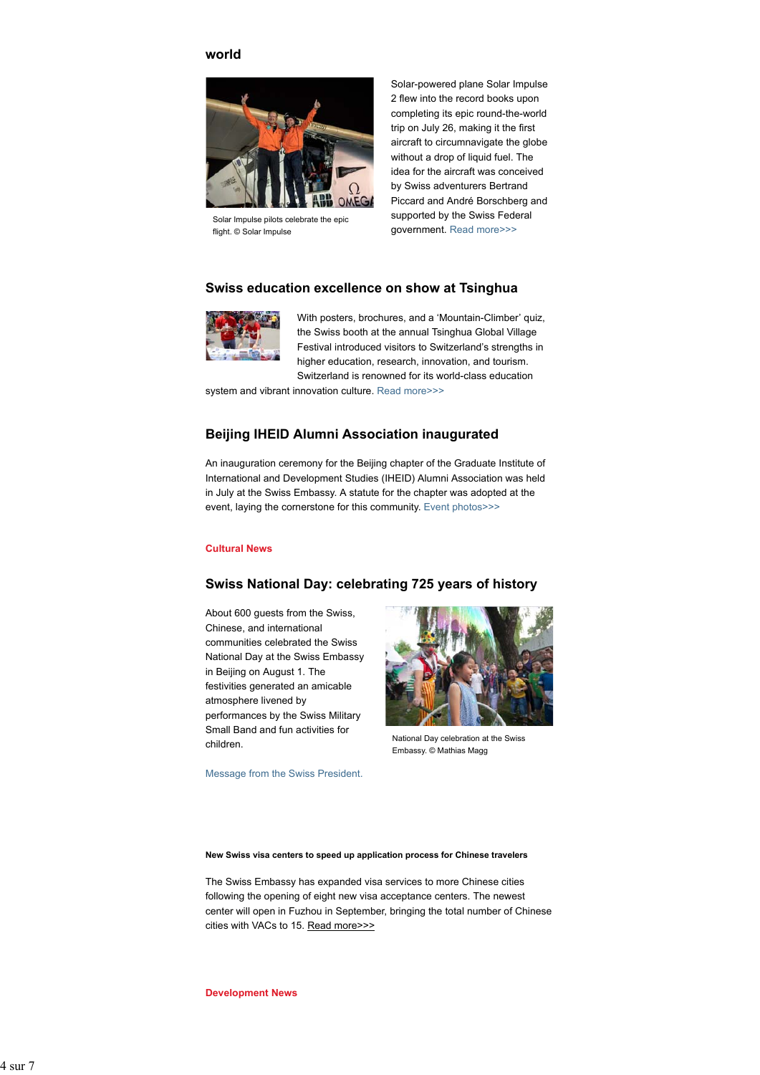# **world**



Solar Impulse pilots celebrate the epic flight. © Solar Impulse

Solar-powered plane Solar Impulse 2 flew into the record books upon completing its epic round-the-world trip on July 26, making it the first aircraft to circumnavigate the globe without a drop of liquid fuel. The idea for the aircraft was conceived by Swiss adventurers Bertrand Piccard and André Borschberg and supported by the Swiss Federal government. Read more>>>

# **Swiss education excellence on show at Tsinghua**



With posters, brochures, and a 'Mountain-Climber' quiz, the Swiss booth at the annual Tsinghua Global Village Festival introduced visitors to Switzerland's strengths in higher education, research, innovation, and tourism. Switzerland is renowned for its world-class education

system and vibrant innovation culture. Read more>>>

# **Beijing IHEID Alumni Association inaugurated**

An inauguration ceremony for the Beijing chapter of the Graduate Institute of International and Development Studies (IHEID) Alumni Association was held in July at the Swiss Embassy. A statute for the chapter was adopted at the event, laying the cornerstone for this community. Event photos>>>

## **Cultural News**

## **Swiss National Day: celebrating 725 years of history**

About 600 guests from the Swiss, Chinese, and international communities celebrated the Swiss National Day at the Swiss Embassy in Beijing on August 1. The festivities generated an amicable atmosphere livened by performances by the Swiss Military Small Band and fun activities for children.



National Day celebration at the Swiss Embassy. © Mathias Magg

Message from the Swiss President.

**New Swiss visa centers to speed up application process for Chinese travelers**

The Swiss Embassy has expanded visa services to more Chinese cities following the opening of eight new visa acceptance centers. The newest center will open in Fuzhou in September, bringing the total number of Chinese cities with VACs to 15. Read more>>>

**Development News**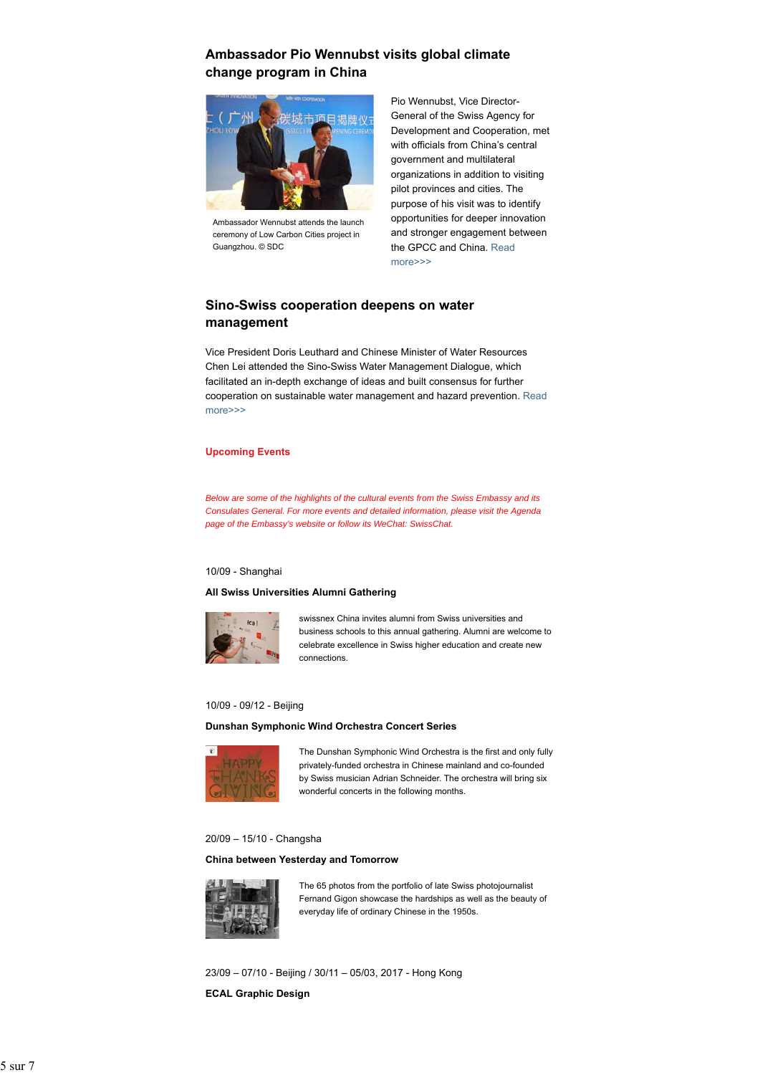# **Ambassador Pio Wennubst visits global climate change program in China**



Ambassador Wennubst attends the launch ceremony of Low Carbon Cities project in Guangzhou. © SDC

Pio Wennubst, Vice Director-General of the Swiss Agency for Development and Cooperation, met with officials from China's central government and multilateral organizations in addition to visiting pilot provinces and cities. The purpose of his visit was to identify opportunities for deeper innovation and stronger engagement between the GPCC and China. Read more>>>

# **Sino-Swiss cooperation deepens on water management**

Vice President Doris Leuthard and Chinese Minister of Water Resources Chen Lei attended the Sino-Swiss Water Management Dialogue, which facilitated an in-depth exchange of ideas and built consensus for further cooperation on sustainable water management and hazard prevention. Read more>>>

## **Upcoming Events**

*Below are some of the highlights of the cultural events from the Swiss Embassy and its Consulates General. For more events and detailed information, please visit the Agenda page of the Embassy's website or follow its WeChat: SwissChat.*

#### 10/09 - Shanghai

## **All Swiss Universities Alumni Gathering**



swissnex China invites alumni from Swiss universities and business schools to this annual gathering. Alumni are welcome to celebrate excellence in Swiss higher education and create new connections.

## 10/09 - 09/12 - Beijing

## **Dunshan Symphonic Wind Orchestra Concert Series**



The Dunshan Symphonic Wind Orchestra is the first and only fully privately-funded orchestra in Chinese mainland and co-founded by Swiss musician Adrian Schneider. The orchestra will bring six wonderful concerts in the following months.

## 20/09 – 15/10 - Changsha

## **China between Yesterday and Tomorrow**



The 65 photos from the portfolio of late Swiss photojournalist Fernand Gigon showcase the hardships as well as the beauty of everyday life of ordinary Chinese in the 1950s.

23/09 – 07/10 - Beijing / 30/11 – 05/03, 2017 - Hong Kong **ECAL Graphic Design**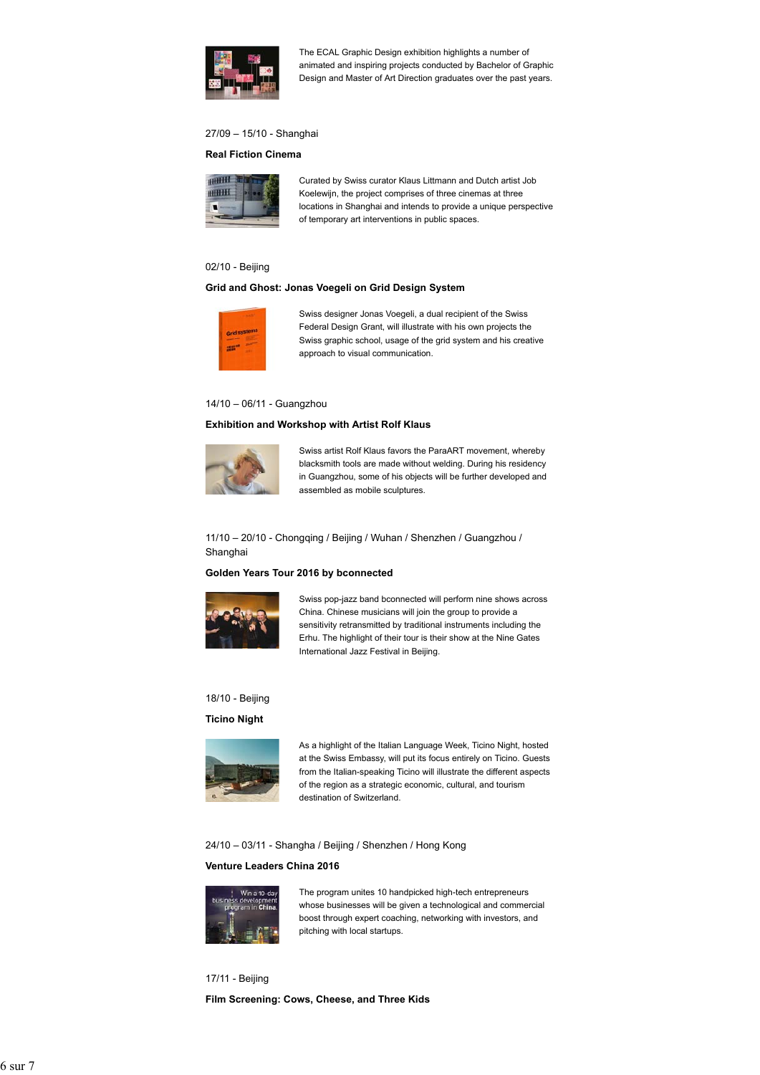

The ECAL Graphic Design exhibition highlights a number of animated and inspiring projects conducted by Bachelor of Graphic Design and Master of Art Direction graduates over the past years.

# 27/09 – 15/10 - Shanghai

## **Real Fiction Cinema**



Curated by Swiss curator Klaus Littmann and Dutch artist Job Koelewijn, the project comprises of three cinemas at three locations in Shanghai and intends to provide a unique perspective of temporary art interventions in public spaces.

## 02/10 - Beijing

## **Grid and Ghost: Jonas Voegeli on Grid Design System**



Swiss designer Jonas Voegeli, a dual recipient of the Swiss Federal Design Grant, will illustrate with his own projects the Swiss graphic school, usage of the grid system and his creative approach to visual communication.

#### 14/10 – 06/11 - Guangzhou

## **Exhibition and Workshop with Artist Rolf Klaus**



Swiss artist Rolf Klaus favors the ParaART movement, whereby blacksmith tools are made without welding. During his residency in Guangzhou, some of his objects will be further developed and assembled as mobile sculptures.

11/10 – 20/10 - Chongqing / Beijing / Wuhan / Shenzhen / Guangzhou / Shanghai

#### **Golden Years Tour 2016 by bconnected**



Swiss pop-jazz band bconnected will perform nine shows across China. Chinese musicians will join the group to provide a sensitivity retransmitted by traditional instruments including the Erhu. The highlight of their tour is their show at the Nine Gates International Jazz Festival in Beijing.

#### 18/10 - Beijing

### **Ticino Night**



As a highlight of the Italian Language Week, Ticino Night, hosted at the Swiss Embassy, will put its focus entirely on Ticino. Guests from the Italian-speaking Ticino will illustrate the different aspects of the region as a strategic economic, cultural, and tourism destination of Switzerland.

24/10 – 03/11 - Shangha / Beijing / Shenzhen / Hong Kong

## **Venture Leaders China 2016**



The program unites 10 handpicked high-tech entrepreneurs whose businesses will be given a technological and commercial boost through expert coaching, networking with investors, and pitching with local startups.

17/11 - Beijing **Film Screening: Cows, Cheese, and Three Kids**